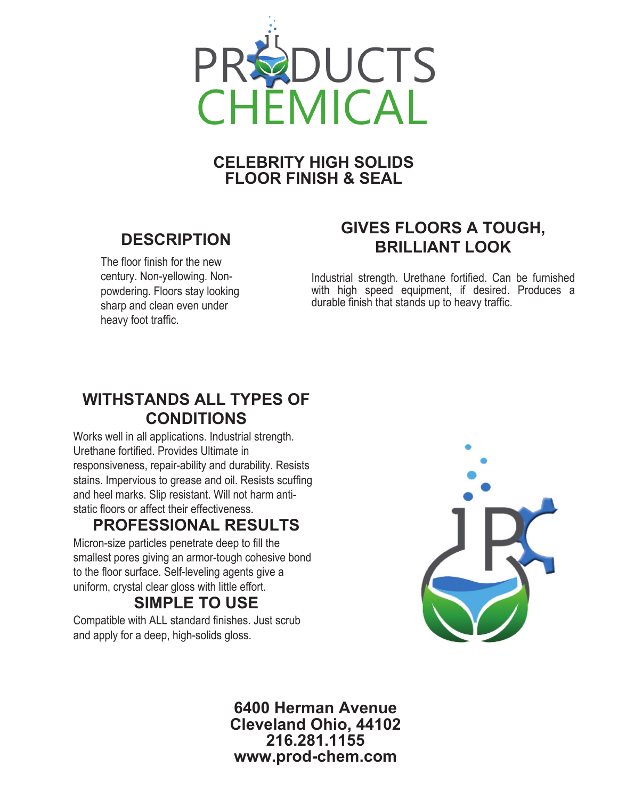

#### **CELEBRITY HIGH SOLIDS FLOOR FINISH & SEAL**

# **DESCRIPTION**

The floor finish for the new century. Non-yellowing. Nonpowdering. Floors stay looking sharp and clean even under heavy foot traffic.

# **GIVES FLOORS A TOUGH, BRILLIANT LOOK**

Industrial strength. Urethane fortified. Can be furnished with high speed equipment, if desired. Produces a durable finish that stands up to heavy traffic.

#### **WITHSTANDS ALL TYPES OF CONDITIONS**

Works well in all applications. Industrial strength. Urethane fortified. Provides Ultimate in responsiveness, repair-ability and durability. Resists stains. Impervious to grease and oil. Resists scuffing and heel marks. Slip resistant. Will not harm antistatic floors or affect their effectiveness.

## **PROFESSIONAL RESULTS**

Micron-size particles penetrate deep to fill the smallest pores giving an armor-tough cohesive bond to the floor surface. Self-leveling agents give a uniform, crystal clear gloss with little effort.

# **SIMPLE TO USE**

Compatible with ALL standard finishes. Just scrub and apply for a deep, high-solids gloss.



**6400 Herman Avenue Cleveland Ohio, 44102 216.281.1155 www.prod-chem.com**